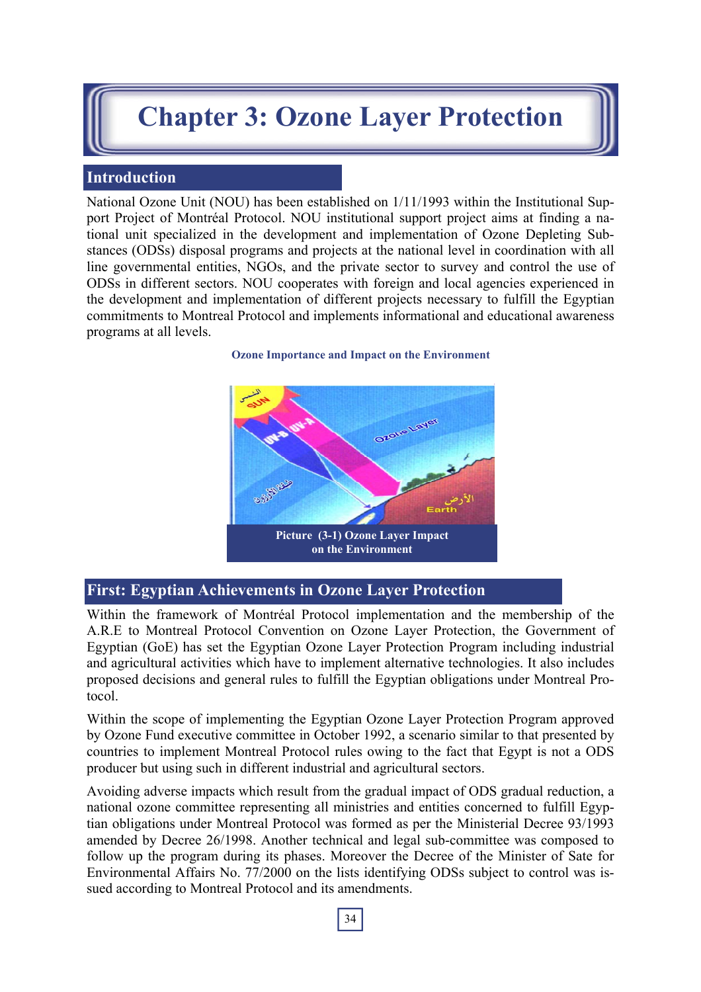# **Chapter 3: Ozone Layer Protection**

## **Introduction**

National Ozone Unit (NOU) has been established on 1/11/1993 within the Institutional Support Project of Montréal Protocol. NOU institutional support project aims at finding a national unit specialized in the development and implementation of Ozone Depleting Substances (ODSs) disposal programs and projects at the national level in coordination with all line governmental entities, NGOs, and the private sector to survey and control the use of ODSs in different sectors. NOU cooperates with foreign and local agencies experienced in the development and implementation of different projects necessary to fulfill the Egyptian commitments to Montreal Protocol and implements informational and educational awareness programs at all levels.

# **Ozone Importance and Impact on the Environment**



## **First: Egyptian Achievements in Ozone Layer Protection**

Within the framework of Montréal Protocol implementation and the membership of the A.R.E to Montreal Protocol Convention on Ozone Layer Protection, the Government of Egyptian (GoE) has set the Egyptian Ozone Layer Protection Program including industrial and agricultural activities which have to implement alternative technologies. It also includes proposed decisions and general rules to fulfill the Egyptian obligations under Montreal Protocol.

Within the scope of implementing the Egyptian Ozone Layer Protection Program approved by Ozone Fund executive committee in October 1992, a scenario similar to that presented by countries to implement Montreal Protocol rules owing to the fact that Egypt is not a ODS producer but using such in different industrial and agricultural sectors.

Avoiding adverse impacts which result from the gradual impact of ODS gradual reduction, a national ozone committee representing all ministries and entities concerned to fulfill Egyptian obligations under Montreal Protocol was formed as per the Ministerial Decree 93/1993 amended by Decree 26/1998. Another technical and legal sub-committee was composed to follow up the program during its phases. Moreover the Decree of the Minister of Sate for Environmental Affairs No. 77/2000 on the lists identifying ODSs subject to control was issued according to Montreal Protocol and its amendments.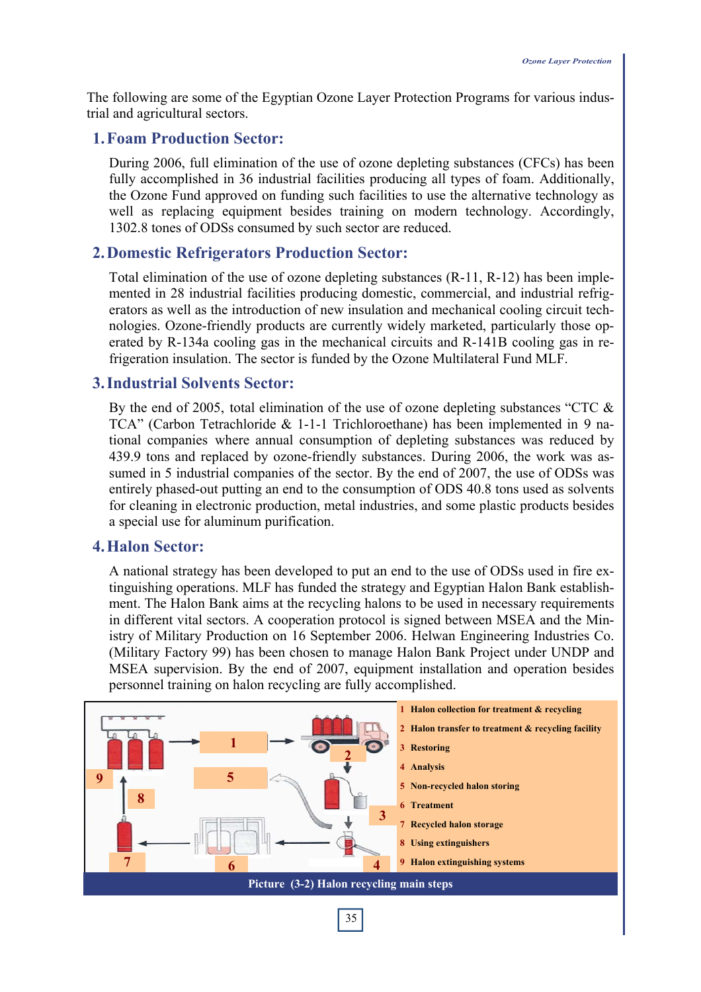The following are some of the Egyptian Ozone Layer Protection Programs for various industrial and agricultural sectors.

#### **1. Foam Production Sector:**

During 2006, full elimination of the use of ozone depleting substances (CFCs) has been fully accomplished in 36 industrial facilities producing all types of foam. Additionally, the Ozone Fund approved on funding such facilities to use the alternative technology as well as replacing equipment besides training on modern technology. Accordingly, 1302.8 tones of ODSs consumed by such sector are reduced.

#### **2. Domestic Refrigerators Production Sector:**

Total elimination of the use of ozone depleting substances (R-11, R-12) has been implemented in 28 industrial facilities producing domestic, commercial, and industrial refrigerators as well as the introduction of new insulation and mechanical cooling circuit technologies. Ozone-friendly products are currently widely marketed, particularly those operated by R-134a cooling gas in the mechanical circuits and R-141B cooling gas in refrigeration insulation. The sector is funded by the Ozone Multilateral Fund MLF.

#### **3. Industrial Solvents Sector:**

By the end of 2005, total elimination of the use of ozone depleting substances "CTC  $\&$ TCA" (Carbon Tetrachloride & 1-1-1 Trichloroethane) has been implemented in 9 national companies where annual consumption of depleting substances was reduced by 439.9 tons and replaced by ozone-friendly substances. During 2006, the work was assumed in 5 industrial companies of the sector. By the end of 2007, the use of ODSs was entirely phased-out putting an end to the consumption of ODS 40.8 tons used as solvents for cleaning in electronic production, metal industries, and some plastic products besides a special use for aluminum purification.

#### **4. Halon Sector:**

A national strategy has been developed to put an end to the use of ODSs used in fire extinguishing operations. MLF has funded the strategy and Egyptian Halon Bank establishment. The Halon Bank aims at the recycling halons to be used in necessary requirements in different vital sectors. A cooperation protocol is signed between MSEA and the Ministry of Military Production on 16 September 2006. Helwan Engineering Industries Co. (Military Factory 99) has been chosen to manage Halon Bank Project under UNDP and MSEA supervision. By the end of 2007, equipment installation and operation besides personnel training on halon recycling are fully accomplished.

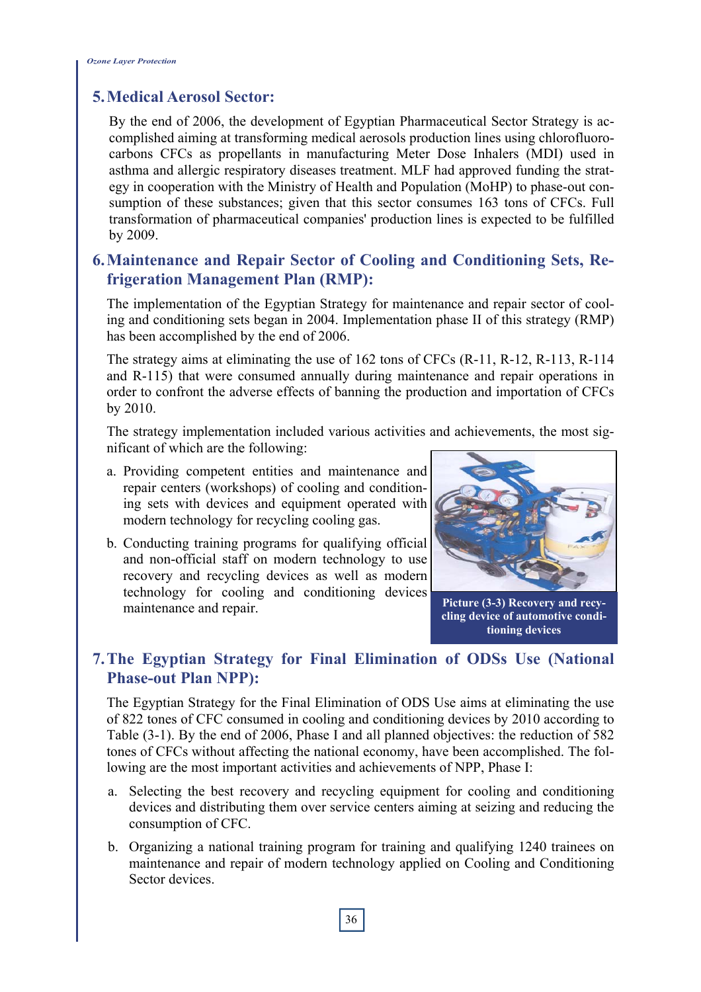## **5. Medical Aerosol Sector:**

By the end of 2006, the development of Egyptian Pharmaceutical Sector Strategy is accomplished aiming at transforming medical aerosols production lines using chlorofluorocarbons CFCs as propellants in manufacturing Meter Dose Inhalers (MDI) used in asthma and allergic respiratory diseases treatment. MLF had approved funding the strategy in cooperation with the Ministry of Health and Population (MoHP) to phase-out consumption of these substances; given that this sector consumes 163 tons of CFCs. Full transformation of pharmaceutical companies' production lines is expected to be fulfilled by 2009.

## **6. Maintenance and Repair Sector of Cooling and Conditioning Sets, Refrigeration Management Plan (RMP):**

The implementation of the Egyptian Strategy for maintenance and repair sector of cooling and conditioning sets began in 2004. Implementation phase II of this strategy (RMP) has been accomplished by the end of 2006.

The strategy aims at eliminating the use of 162 tons of CFCs (R-11, R-12, R-113, R-114 and R-115) that were consumed annually during maintenance and repair operations in order to confront the adverse effects of banning the production and importation of CFCs by 2010.

The strategy implementation included various activities and achievements, the most significant of which are the following:

- a. Providing competent entities and maintenance and repair centers (workshops) of cooling and conditioning sets with devices and equipment operated with modern technology for recycling cooling gas.
- b. Conducting training programs for qualifying official and non-official staff on modern technology to use recovery and recycling devices as well as modern technology for cooling and conditioning devices maintenance and repair.



**Picture (3-3) Recovery and recycling device of automotive conditioning devices** 

## **7. The Egyptian Strategy for Final Elimination of ODSs Use (National Phase-out Plan NPP):**

The Egyptian Strategy for the Final Elimination of ODS Use aims at eliminating the use of 822 tones of CFC consumed in cooling and conditioning devices by 2010 according to Table (3-1). By the end of 2006, Phase I and all planned objectives: the reduction of 582 tones of CFCs without affecting the national economy, have been accomplished. The following are the most important activities and achievements of NPP, Phase I:

- a. Selecting the best recovery and recycling equipment for cooling and conditioning devices and distributing them over service centers aiming at seizing and reducing the consumption of CFC.
- b. Organizing a national training program for training and qualifying 1240 trainees on maintenance and repair of modern technology applied on Cooling and Conditioning Sector devices.